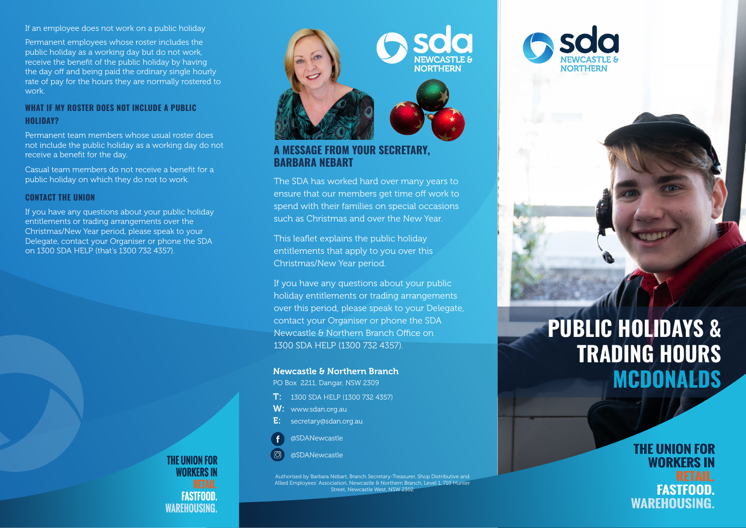If an employee does not work on a public holiday

Permanent employees whose roster includes the public holiday as a working day but do not work, receive the benefit of the public holiday by having the day off and being paid the ordinary single hourly rate of pay for the hours they are normally rostered to work.

#### **WHAT IF MY ROSTER DOES NOT INCLUDE A PUBLIC HOLIDAY?**

Permanent team members whose usual roster does not include the public holiday as a working day do not receive a benefit for the day.

Casual team members do not receive a benefit for a public holiday on which they do not to work.

#### **CONTACT THE UNION**

If you have any questions about your public holiday entitlements or trading arrangements over the Christmas/New Year period, please speak to your Delegate, contact your Organiser or phone the SDA on 1300 SDA HELP (that's 1300 732 4357).



### **A MESSAGE FROM YOUR SECRETARY, BARBARA NEBART**

The SDA has worked hard over many years to ensure that our members get time off work to spend with their families on special occasions such as Christmas and over the New Year.

This leaflet explains the public holiday entitlements that apply to you over this Christmas/New Year period.

If you have any questions about your public holiday entitlements or trading arrangements over this period, please speak to your Delegate, contact your Organiser or phone the SDA Newcastle & Northern Branch Office on 1300 SDA HELP (1300 732 4357).

#### Newcastle & Northern Branch

PO Box 2211, Dangar, NSW 2309

- T: 1300 SDA HELP (1300 732 4357)
- W: www.sdan.org.au
- E: secretary@sdan.org.au



 $\overline{O}$ @SDANewcastle

Authorised by Barbara Nebart, Branch Secretary-Treasurer, Shop Distributive and Allied Employees' Association, Newcastle & Northern Branch, Level 1, 710 Hunter Street, Newcastle West, NSW 2302

# **PUBLIC HOLIDAYS & TRADING HOURS MCDONALDS**

## **THE UNION FOR WORKERS IN FASTFOOD. WAREHOUSING.**

**THE UNION FOR WORKFRS IN FASTFOOD WAREHOUSING.**